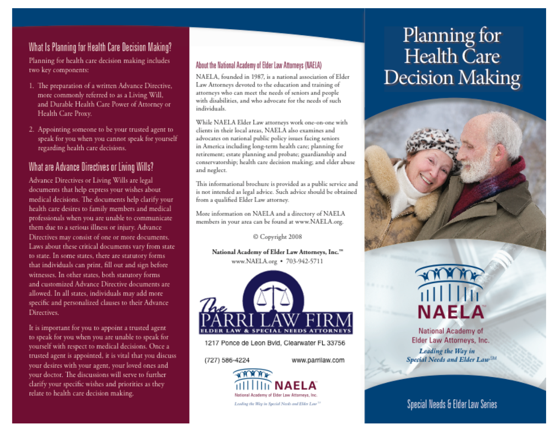## What Is Planning for Health Care Decision Making?

Planning for health care decision making includes two key components:

- 1. The preparation of a written Advance Directive, more commonly referred to as a Living Will, and Durable Health Care Power of Attorney or Health Care Proxy.
- 2. Appointing someone to be your trusted agent to speak for you when you cannot speak for yourself regarding health care decisions.

# What are Advance Directives or Living Wills?

Advance Directives or Living Wills are legal documents that help express your wishes about medical decisions. The documents help clarify your health care desires to family members and medical professionals when you are unable to communicate them due to a serious illness or injury. Advance Directives may consist of one or more documents. Laws about these critical documents vary from state to state. In some states, there are statutory forms that individuals can print, fill out and sign before witnesses. In other states, both statutory forms and customized Advance Directive documents are allowed. In all states, individuals may add more specific and personalized clauses to their Advance Directives.

It is important for you to appoint a trusted agent to speak for you when you are unable to speak for yourself with respect to medical decisions. Once a trusted agent is appointed, it is vital that you discuss your desires with your agent, your loved ones and your doctor. The discussions will serve to further clarify your specific wishes and priorities as they relate to health care decision making.

#### About the National Academy of Elder Law Attorneys (NAELA)

NAELA, founded in 1987, is a national association of Elder Law Attorneys devoted to the education and training of attorneys who can meet the needs of seniors and people with disabilities, and who advocate for the needs of such individuals

While NAELA Elder Law attorneys work one-on-one with clients in their local areas. NAELA also examines and advocates on national public policy issues facing seniors in America including long-term health care; planning for retirement; estate planning and probate; guardianship and conservatorship; health care decision making; and elder abuse and neglect.

This informational brochure is provided as a public service and is not intended as legal advice. Such advice should be obtained from a qualified Elder Law attorney.

More information on NAELA and a directory of NAELA members in your area can be found at www.NAELA.org.

© Copyright 2008

National Academy of Elder Law Attorneys, Inc."" www.NAELA.org • 703-942-5711



1217 Ponce de Leon Bvld, Clearwater FL 33756

(727) 586-4224

www.parrilaw.com



# Planning for Health Care **Decision Making**





National Academy of Elder Law Attorneys, Inc. Leading the Way in Special Needs and Elder Law<sup>SM</sup>

Special Needs & Elder Law Series